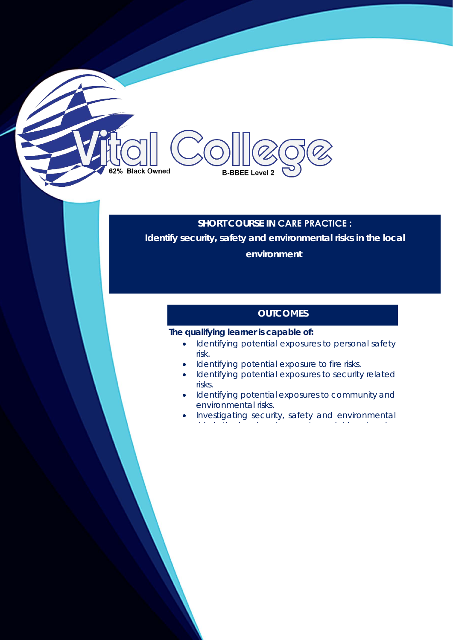# 62% Black Owned **B-BBEE Level 2**

### **SHORT COURSE IN CARE PRACTICE : Identify security, safety and environmental risks in the local environment**

#### **OUTCOMES**

#### **The qualifying learner is capable of:**

- Identifying potential exposures to personal safety risk.
- Identifying potential exposure to fire risks.
- Identifying potential exposures to security related risks.
- Identifying potential exposures to community and environmental risks.
- Investigating security, safety and environmental i k i the l i th l i th l i th l i th l i the l i th l i th l i th l i th l i th l i th l i th l i th l i th<br>The l i th l i th l i th l i th l i th l i th l i th l i th l i th l i th l i th l i th l i th l i th l i th